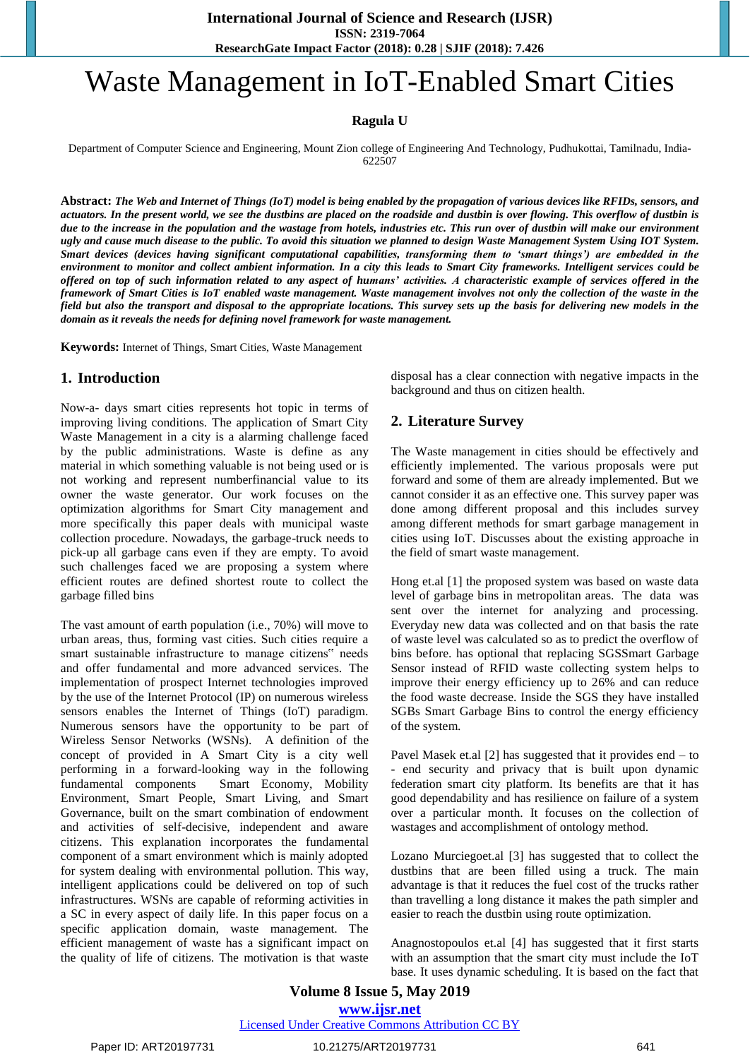**ResearchGate Impact Factor (2018): 0.28 | SJIF (2018): 7.426**

# Waste Management in IoT-Enabled Smart Cities

## **Ragula U**

Department of Computer Science and Engineering, Mount Zion college of Engineering And Technology, Pudhukottai, Tamilnadu, India-622507

**Abstract:** *The Web and Internet of Things (IoT) model is being enabled by the propagation of various devices like RFIDs, sensors, and actuators. In the present world, we see the dustbins are placed on the roadside and dustbin is over flowing. This overflow of dustbin is due to the increase in the population and the wastage from hotels, industries etc. This run over of dustbin will make our environment ugly and cause much disease to the public. To avoid this situation we planned to design Waste Management System Using IOT System. Smart devices (devices having significant computational capabilities, transforming them to 'smart things') are embedded in the environment to monitor and collect ambient information. In a city this leads to Smart City frameworks. Intelligent services could be offered on top of such information related to any aspect of humans' activities. A characteristic example of services offered in the framework of Smart Cities is IoT enabled waste management. Waste management involves not only the collection of the waste in the field but also the transport and disposal to the appropriate locations. This survey sets up the basis for delivering new models in the domain as it reveals the needs for defining novel framework for waste management.*

**Keywords:** Internet of Things, Smart Cities, Waste Management

## **1. Introduction**

Now-a- days smart cities represents hot topic in terms of improving living conditions. The application of Smart City Waste Management in a city is a alarming challenge faced by the public administrations. Waste is define as any material in which something valuable is not being used or is not working and represent numberfinancial value to its owner the waste generator. Our work focuses on the optimization algorithms for Smart City management and more specifically this paper deals with municipal waste collection procedure. Nowadays, the garbage-truck needs to pick-up all garbage cans even if they are empty. To avoid such challenges faced we are proposing a system where efficient routes are defined shortest route to collect the garbage filled bins

The vast amount of earth population (i.e., 70%) will move to urban areas, thus, forming vast cities. Such cities require a smart sustainable infrastructure to manage citizens" needs and offer fundamental and more advanced services. The implementation of prospect Internet technologies improved by the use of the Internet Protocol (IP) on numerous wireless sensors enables the Internet of Things (IoT) paradigm. Numerous sensors have the opportunity to be part of Wireless Sensor Networks (WSNs). A definition of the concept of provided in A Smart City is a city well performing in a forward-looking way in the following fundamental components Smart Economy, Mobility Environment, Smart People, Smart Living, and Smart Governance, built on the smart combination of endowment and activities of self-decisive, independent and aware citizens. This explanation incorporates the fundamental component of a smart environment which is mainly adopted for system dealing with environmental pollution. This way, intelligent applications could be delivered on top of such infrastructures. WSNs are capable of reforming activities in a SC in every aspect of daily life. In this paper focus on a specific application domain, waste management. The efficient management of waste has a significant impact on the quality of life of citizens. The motivation is that waste disposal has a clear connection with negative impacts in the background and thus on citizen health.

## **2. Literature Survey**

The Waste management in cities should be effectively and efficiently implemented. The various proposals were put forward and some of them are already implemented. But we cannot consider it as an effective one. This survey paper was done among different proposal and this includes survey among different methods for smart garbage management in cities using IoT. Discusses about the existing approache in the field of smart waste management.

Hong et.al [1] the proposed system was based on waste data level of garbage bins in metropolitan areas. The data was sent over the internet for analyzing and processing. Everyday new data was collected and on that basis the rate of waste level was calculated so as to predict the overflow of bins before. has optional that replacing SGSSmart Garbage Sensor instead of RFID waste collecting system helps to improve their energy efficiency up to 26% and can reduce the food waste decrease. Inside the SGS they have installed SGBs Smart Garbage Bins to control the energy efficiency of the system.

Pavel Masek et.al [2] has suggested that it provides end – to - end security and privacy that is built upon dynamic federation smart city platform. Its benefits are that it has good dependability and has resilience on failure of a system over a particular month. It focuses on the collection of wastages and accomplishment of ontology method.

Lozano Murciegoet.al [3] has suggested that to collect the dustbins that are been filled using a truck. The main advantage is that it reduces the fuel cost of the trucks rather than travelling a long distance it makes the path simpler and easier to reach the dustbin using route optimization.

Anagnostopoulos et.al [4] has suggested that it first starts with an assumption that the smart city must include the IoT base. It uses dynamic scheduling. It is based on the fact that

# **Volume 8 Issue 5, May 2019 www.ijsr.net**

Licensed Under Creative Commons Attribution CC BY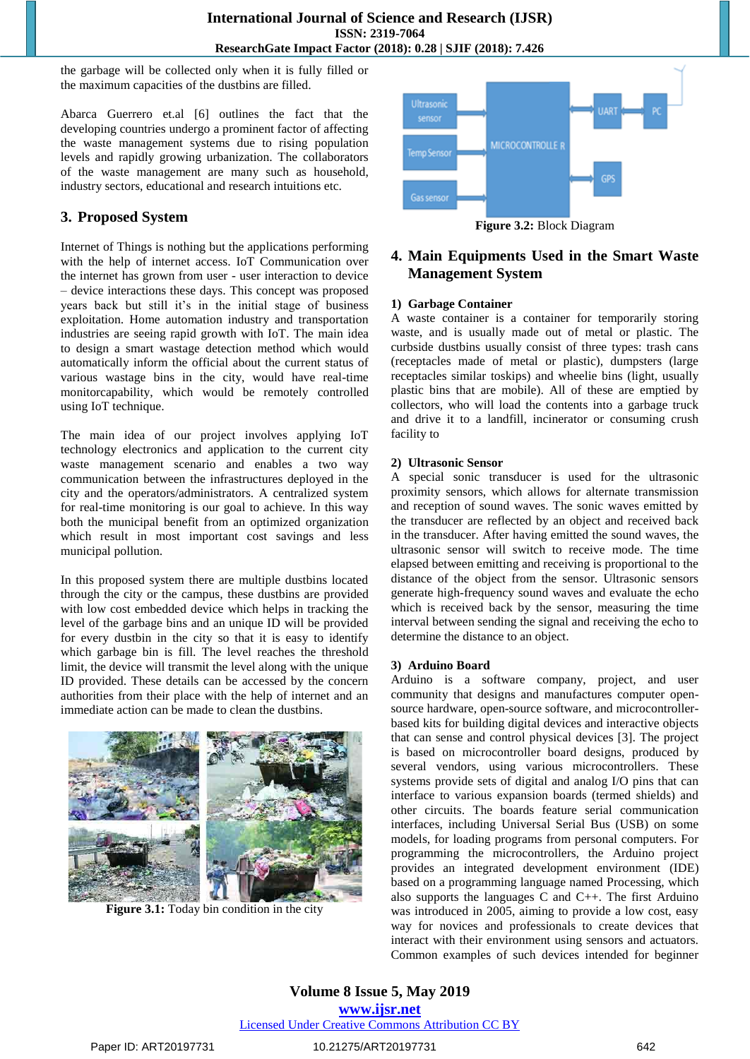the garbage will be collected only when it is fully filled or the maximum capacities of the dustbins are filled.

Abarca Guerrero et.al [6] outlines the fact that the developing countries undergo a prominent factor of affecting the waste management systems due to rising population levels and rapidly growing urbanization. The collaborators of the waste management are many such as household, industry sectors, educational and research intuitions etc.

# **3. Proposed System**

Internet of Things is nothing but the applications performing with the help of internet access. IoT Communication over the internet has grown from user - user interaction to device – device interactions these days. This concept was proposed years back but still it's in the initial stage of business exploitation. Home automation industry and transportation industries are seeing rapid growth with IoT. The main idea to design a smart wastage detection method which would automatically inform the official about the current status of various wastage bins in the city, would have real-time monitorcapability, which would be remotely controlled using IoT technique.

The main idea of our project involves applying IoT technology electronics and application to the current city waste management scenario and enables a two way communication between the infrastructures deployed in the city and the operators/administrators. A centralized system for real-time monitoring is our goal to achieve. In this way both the municipal benefit from an optimized organization which result in most important cost savings and less municipal pollution.

In this proposed system there are multiple dustbins located through the city or the campus, these dustbins are provided with low cost embedded device which helps in tracking the level of the garbage bins and an unique ID will be provided for every dustbin in the city so that it is easy to identify which garbage bin is fill. The level reaches the threshold limit, the device will transmit the level along with the unique ID provided. These details can be accessed by the concern authorities from their place with the help of internet and an immediate action can be made to clean the dustbins.



**Figure 3.1:** Today bin condition in the city



**Figure 3.2:** Block Diagram

## **4. Main Equipments Used in the Smart Waste Management System**

#### **1) Garbage Container**

A waste container is a container for temporarily storing waste, and is usually made out of metal or plastic. The curbside dustbins usually consist of three types: trash cans (receptacles made of metal or plastic), dumpsters (large receptacles similar toskips) and wheelie bins (light, usually plastic bins that are mobile). All of these are emptied by collectors, who will load the contents into a garbage truck and drive it to a landfill, incinerator or consuming crush facility to

#### **2) Ultrasonic Sensor**

A special sonic transducer is used for the ultrasonic proximity sensors, which allows for alternate transmission and reception of sound waves. The sonic waves emitted by the transducer are reflected by an object and received back in the transducer. After having emitted the sound waves, the ultrasonic sensor will switch to receive mode. The time elapsed between emitting and receiving is proportional to the distance of the object from the sensor. Ultrasonic sensors generate high-frequency sound waves and evaluate the echo which is received back by the sensor, measuring the time interval between sending the signal and receiving the echo to determine the distance to an object.

#### **3) Arduino Board**

Arduino is a software company, project, and user community that designs and manufactures computer opensource hardware, open-source software, and microcontrollerbased kits for building digital devices and interactive objects that can sense and control physical devices [3]. The project is based on microcontroller board designs, produced by several vendors, using various microcontrollers. These systems provide sets of digital and analog I/O pins that can interface to various expansion boards (termed shields) and other circuits. The boards feature serial communication interfaces, including Universal Serial Bus (USB) on some models, for loading programs from personal computers. For programming the microcontrollers, the Arduino project provides an integrated development environment (IDE) based on a programming language named Processing, which also supports the languages  $C$  and  $C_{++}$ . The first Arduino was introduced in 2005, aiming to provide a low cost, easy way for novices and professionals to create devices that interact with their environment using sensors and actuators. Common examples of such devices intended for beginner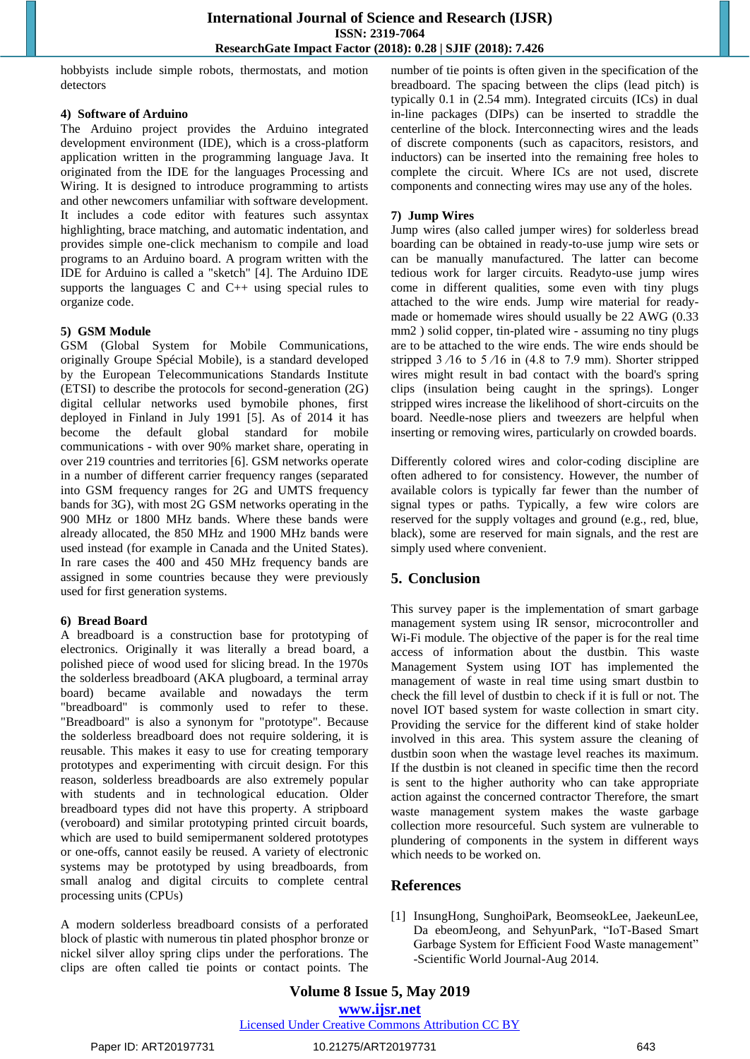hobbyists include simple robots, thermostats, and motion detectors

#### **4) Software of Arduino**

The Arduino project provides the Arduino integrated development environment (IDE), which is a cross-platform application written in the programming language Java. It originated from the IDE for the languages Processing and Wiring. It is designed to introduce programming to artists and other newcomers unfamiliar with software development. It includes a code editor with features such assyntax highlighting, brace matching, and automatic indentation, and provides simple one-click mechanism to compile and load programs to an Arduino board. A program written with the IDE for Arduino is called a "sketch" [4]. The Arduino IDE supports the languages  $C$  and  $C_{++}$  using special rules to organize code.

#### **5) GSM Module**

GSM (Global System for Mobile Communications, originally Groupe Spécial Mobile), is a standard developed by the European Telecommunications Standards Institute (ETSI) to describe the protocols for second-generation (2G) digital cellular networks used bymobile phones, first deployed in Finland in July 1991 [5]. As of 2014 it has become the default global standard for mobile communications - with over 90% market share, operating in over 219 countries and territories [6]. GSM networks operate in a number of different carrier frequency ranges (separated into GSM frequency ranges for 2G and UMTS frequency bands for 3G), with most 2G GSM networks operating in the 900 MHz or 1800 MHz bands. Where these bands were already allocated, the 850 MHz and 1900 MHz bands were used instead (for example in Canada and the United States). In rare cases the 400 and 450 MHz frequency bands are assigned in some countries because they were previously used for first generation systems.

#### **6) Bread Board**

A breadboard is a construction base for prototyping of electronics. Originally it was literally a bread board, a polished piece of wood used for slicing bread. In the 1970s the solderless breadboard (AKA plugboard, a terminal array board) became available and nowadays the term "breadboard" is commonly used to refer to these. "Breadboard" is also a synonym for "prototype". Because the solderless breadboard does not require soldering, it is reusable. This makes it easy to use for creating temporary prototypes and experimenting with circuit design. For this reason, solderless breadboards are also extremely popular with students and in technological education. Older breadboard types did not have this property. A stripboard (veroboard) and similar prototyping printed circuit boards, which are used to build semipermanent soldered prototypes or one-offs, cannot easily be reused. A variety of electronic systems may be prototyped by using breadboards, from small analog and digital circuits to complete central processing units (CPUs)

A modern solderless breadboard consists of a perforated block of plastic with numerous tin plated phosphor bronze or nickel silver alloy spring clips under the perforations. The clips are often called tie points or contact points. The number of tie points is often given in the specification of the breadboard. The spacing between the clips (lead pitch) is typically 0.1 in (2.54 mm). Integrated circuits (ICs) in dual in-line packages (DIPs) can be inserted to straddle the centerline of the block. Interconnecting wires and the leads of discrete components (such as capacitors, resistors, and inductors) can be inserted into the remaining free holes to complete the circuit. Where ICs are not used, discrete components and connecting wires may use any of the holes.

#### **7) Jump Wires**

Jump wires (also called jumper wires) for solderless bread boarding can be obtained in ready-to-use jump wire sets or can be manually manufactured. The latter can become tedious work for larger circuits. Readyto-use jump wires come in different qualities, some even with tiny plugs attached to the wire ends. Jump wire material for readymade or homemade wires should usually be 22 AWG (0.33 mm<sub>2</sub>) solid copper, tin-plated wire - assuming no tiny plugs are to be attached to the wire ends. The wire ends should be stripped  $3/16$  to  $5/16$  in (4.8 to 7.9 mm). Shorter stripped wires might result in bad contact with the board's spring clips (insulation being caught in the springs). Longer stripped wires increase the likelihood of short-circuits on the board. Needle-nose pliers and tweezers are helpful when inserting or removing wires, particularly on crowded boards.

Differently colored wires and color-coding discipline are often adhered to for consistency. However, the number of available colors is typically far fewer than the number of signal types or paths. Typically, a few wire colors are reserved for the supply voltages and ground (e.g., red, blue, black), some are reserved for main signals, and the rest are simply used where convenient.

## **5. Conclusion**

This survey paper is the implementation of smart garbage management system using IR sensor, microcontroller and Wi-Fi module. The objective of the paper is for the real time access of information about the dustbin. This waste Management System using IOT has implemented the management of waste in real time using smart dustbin to check the fill level of dustbin to check if it is full or not. The novel IOT based system for waste collection in smart city. Providing the service for the different kind of stake holder involved in this area. This system assure the cleaning of dustbin soon when the wastage level reaches its maximum. If the dustbin is not cleaned in specific time then the record is sent to the higher authority who can take appropriate action against the concerned contractor Therefore, the smart waste management system makes the waste garbage collection more resourceful. Such system are vulnerable to plundering of components in the system in different ways which needs to be worked on.

#### **References**

[1] InsungHong, SunghoiPark, BeomseokLee, JaekeunLee, Da ebeomJeong, and SehyunPark, "IoT-Based Smart Garbage System for Efficient Food Waste management" -Scientific World Journal-Aug 2014.